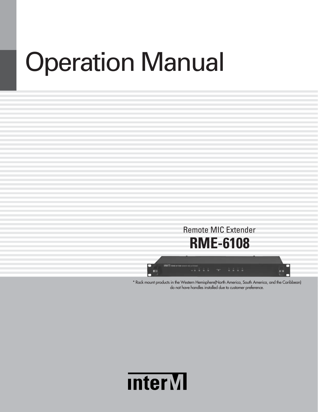# Operation Manual



\* Rack mount products in the Western Hemisphere(North America, South America, and the Caribbean) do not have handles installed due to customer preference.

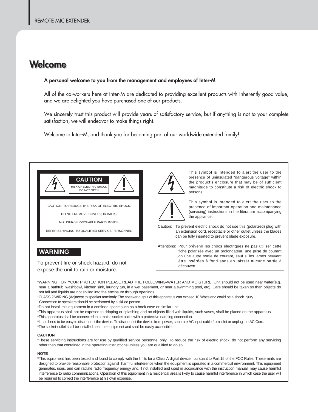### **Welc Welcome ome**

#### **A personal welcome to you from the management and employees of Inter-M**

All of the co-workers here at Inter-M are dedicated to providing excellent products with inherently good value, and we are delighted you have purchased one of our products.

We sincerely trust this product will provide years of satisfactory service, but if anything is not to your complete satisfaction, we will endeavor to make things right.

Welcome to Inter-M, and thank you for becoming part of our worldwide extended family!



CAUTION: TO REDUCE THE RISK OF ELECTRIC SHOCK.

DO NOT REMOVE COVER (OR BACK).

NO USER-SERVICEABLE PARTS INSIDE.

REFER SERVICING TO QUALIFIED SERVICE PERSONNEL.



This symbol is intended to alert the user to the presence of uninsulated "dangerous voltage" within the product's enclosure that may be of sufficient magnitude to constitute a risk of electric shock to persons.



This symbol is intended to alert the user to the presence of important operation and maintenance (servicing) instructions in the literature accompanying the appliance.

Caution: To prevent electric shock do not use this (polarized) plug with an extension cord, receptacle or other outlet unless the blades can be fully inserted to prevent blade exposure.

Attentions: Pour prévenir les chocs électriques ne pas utiliser cette fiche polarisée avec un prolongateur, une prise de courant on une autre sortie de courant, sauf si les lames peuvent étre insérées à fond sans en laisser aucune partie à découvert.

**WARNING**

To prevent fire or shock hazard, do not expose the unit to rain or moisture.

\*WARNING FOR YOUR PROTECTION PLEASE READ THE FOLLOWING-WATER AND MOISTURE: Unit should not be used near water(e.g. near a bathtub, washbowl, kitchen sink, laundry tub, in a wet basement, or near a swimming pool, etc). Care should be taken so than objects do not fall and liquids are not spilled into the enclosure through openings.

\*CLASS 2 WIRING (Adjacent to speaker terminal): The speaker output of this apparatus can exceed 10 Watts and could be a shock injury.

Connection to speakers should be performed by a skilled person.

\*Do not install this equipment in a confined space such as a book case or similar unit.

\*This apparatus shall not be exposed to dripping or splashing and no objects filled with liquids, such vases, shall be placed on the apparatus. \*This apparatus shall be connected to a mains socket outlet with a protective earthing connection.

\*It has heed to be easy to disconnect the device. To disconnect the device from power, separate AC input cable from inlet or unplug the AC Cord.

\*The socket-outlet shall be installed near the equipment and shall be easily accessible.

#### **CAUTION**

\*These servicing instructions are for use by qualified service personnel only. To reduce the risk of electric shock, do not perform any servicing other than that contained in the operating instructions unless you are qualified to do so.

#### **NOTE**

**\***This equipment has been tested and found to comply with the limits for a Class A digital device, pursuant to Part 15 of the FCC Rules. These limits are designed to provide reasonable protection against harmful interference when the equipment is operated in a commercial environment. This equipment generates, uses, and can radiate radio frequency energy and, if not installed and used in accordance with the instruction manual, may cause harmful interference to radio communications. Operation of this equipment in a residential area is likely to cause harmful interference in which case the user will be required to correct the interference at his own expense.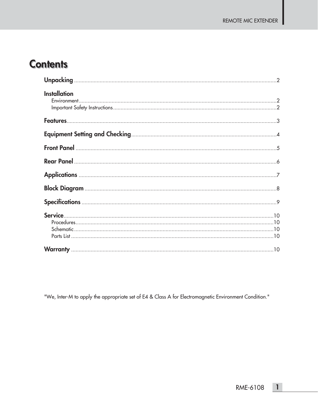### **Contents**

| <b>Installation</b> |
|---------------------|
|                     |
|                     |
|                     |
|                     |
|                     |
|                     |
|                     |
|                     |
|                     |

"We, Inter-M to apply the appropriate set of E4 & Class A for Electromagnetic Environment Condition."

 $\overline{1}$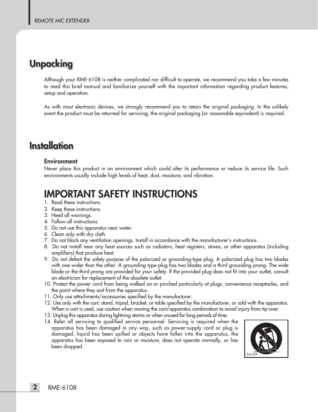### **Unpacking Unpacking**

Although your RME-6108 is neither complicated nor difficult to operate, we recommend you take a few minutes to read this brief manual and familiarize yourself with the important information regarding product features, setup and operation.

As with most electronic devices, we strongly recommend you to retain the original packaging. In the unlikely event the product must be returned for servicing, the original packaging (or reasonable equivalent) is required.

### **Installation Installation**

#### **Environment**

Never place this product in an environment which could alter its performance or reduce its service life. Such environments usually include high levels of heat, dust, moisture, and vibration.

### **IMPORTANT SAFETY INSTRUCTIONS**

- 1. Read these instructions.
- 2. Keep these instructions.
- 3. Heed all warnings.
- 4. Follow all instructions.
- 5. Do not use this apparatus near water.
- 6. Clean only with dry cloth.
- 7. Do not block any ventilation openings. Install in accordance with the manufacturer's instructions.
- 8. Do not install near any heat sources such as radiators, heat registers, stoves, or other apparatus (including amplifiers) that produce heat.
- 9. Do not defeat the safety purpose of the polarized or grounding-type plug. A polarized plug has two blades with one wider than the other. A grounding type plug has two blades and a third grounding prong. The wide blade or the third prong are provided for your safety. If the provided plug does not fit into your outlet, consult an electrician for replacement of the obsolete outlet.
- 10. Protect the power cord from being walked on or pinched particularly at plugs, convenience receptacles, and the point where they exit from the apparatus.
- 11. Only use attachments/accessories specified by the manufacturer.
- 12. Use only with the cart, stand, tripod, bracket, or table specified by the manufacturer, or sold with the apparatus. When a cart is used, use caution when moving the cart/apparatus combination to avoid injury from tip-over.
- 13. Unplug this apparatus during lightning storms or when unused for long periods of time.
- 14. Refer all servicing to qualified service personnel. Servicing is required when the apparatus has been damaged in any way, such as power-supply cord or plug is damaged, liquid has been spilled or objects have fallen into the apparatus, the apparatus has been exposed to rain or moisture, does not operate normally, or has been dropped.

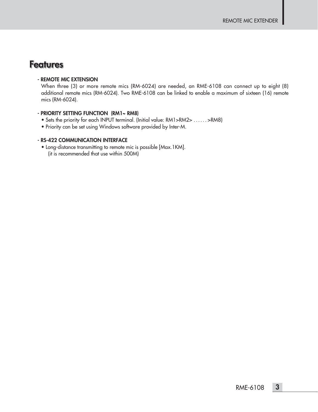### **Features Features**

#### **- REMOTE MIC EXTENSION**

When three (3) or more remote mics (RM-6024) are needed, an RME-6108 can connect up to eight (8) additional remote mics (RM-6024). Two RME-6108 can be linked to enable a maximum of sixteen (16) remote mics (RM-6024).

#### **- PRIORITY SETTING FUNCTION (RM1~ RM8)**

- Sets the priority for each INPUT terminal. (Initial value: RM1>RM2> . . . . . . >RM8)
- Priority can be set using Windows software provided by Inter-M.

#### **- RS-422 COMMUNICATION INTERFACE**

• Long-distance transmitting to remote mic is possible [Max.1KM]. (it is recommended that use within 500M)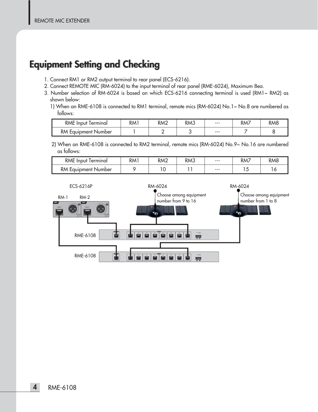### **Equipment Setting and Checking Equipment Setting and Checking**

- 1. Connect RM1 or RM2 output terminal to rear panel (ECS-6216).
- 2. Connect REMOTE MIC (RM-6024) to the input terminal of rear panel (RME-6024), Maximum 8ea.
- 3. Number selection of RM-6024 is based on which ECS-6216 connecting terminal is used (RM1~ RM2) as shown below:
	- 1) When an RME-6108 is connected to RM1 terminal, remote mics (RM-6024) No.1~ No.8 are numbered as follows:

| <b>RME</b> Input Terminal  | RM1 | RM2 | RM3 | $--$  | RM7 | <b>RM8</b> |
|----------------------------|-----|-----|-----|-------|-----|------------|
| <b>RM Equipment Number</b> |     |     |     | $---$ |     |            |

2) When an RME-6108 is connected to RM2 terminal, remote mics (RM-6024) No.9~ No.16 are numbered as follows:

| <b>RME</b> Input Terminal  | RM <sub>1</sub> | RM <sub>2</sub> | RM3 | $--$ | RM7 | RM <sub>8</sub> |
|----------------------------|-----------------|-----------------|-----|------|-----|-----------------|
| <b>RM Equipment Number</b> |                 |                 |     | $--$ | ت   | ◡               |

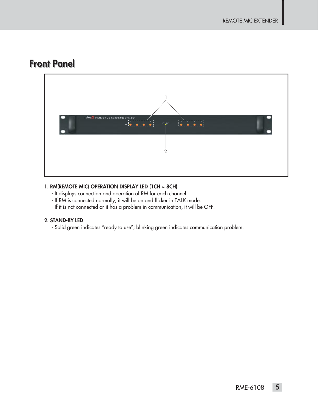### **Front Panel**



### **1. RM(REMOTE MIC) OPERATION DISPLAY LED (1CH ~ 8CH)**

- It displays connection and operation of RM for each channel.
- If RM is connected normally, it will be on and flicker in TALK mode.
- If it is not connected or it has a problem in communication, it will be OFF.

### **2. STAND-BY LED**

- Solid green indicates "ready to use"; blinking green indicates communication problem.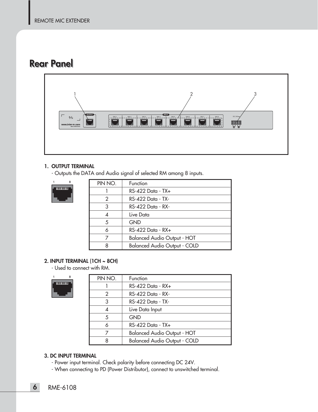### **Rear Panel**



#### **1. OUTPUT TERMINAL**

- Outputs the DATA and Audio signal of selected RM among 8 inputs.



| PIN NO. | Function                            |
|---------|-------------------------------------|
|         | $RS-422$ Data - TX+                 |
| 2       | RS-422 Data - TX-                   |
| 3       | RS-422 Data - RX-                   |
| 4       | Live Data                           |
| 5       | <b>GND</b>                          |
| 6       | RS-422 Data - RX+                   |
|         | <b>Balanced Audio Output - HOT</b>  |
|         | <b>Balanced Audio Output - COLD</b> |

### **2. INPUT TERMINAL (1CH ~ 8CH)**

- Used to connect with RM.



| PIN NO. | Function                            |
|---------|-------------------------------------|
|         | $RS-422$ Data - $RX+$               |
| 2       | $RS-422$ Data - RX-                 |
| 3       | $RS-422$ Data - TX-                 |
| Δ       | Live Data Input                     |
| 5       | <b>GND</b>                          |
| 6       | $RS-422$ Data - TX $+$              |
|         | <b>Balanced Audio Output - HOT</b>  |
| 8       | <b>Balanced Audio Output - COLD</b> |

#### **3. DC INPUT TERMINAL**

- Power input terminal. Check polarity before connecting DC 24V.
- When connecting to PD (Power Distributor), connect to unswitched terminal.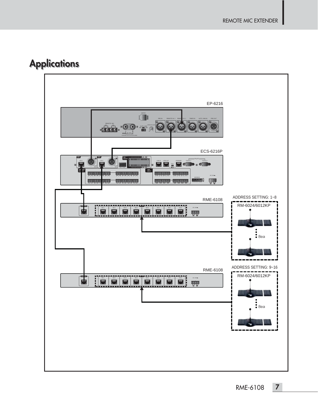### **Applications Applications**

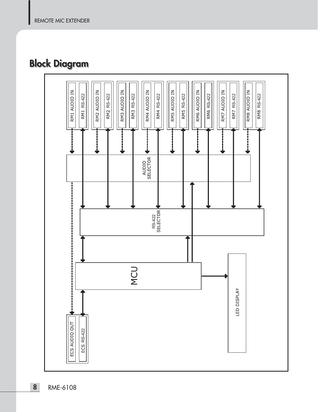### **Block Diagram Block Diagram**

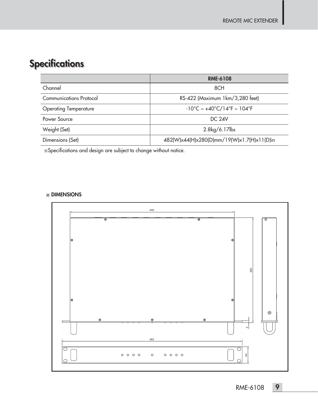### **Specifications Specifications**

|                              | <b>RME-6108</b>                                                       |
|------------------------------|-----------------------------------------------------------------------|
| Channel                      | 8CH                                                                   |
| Communications Protocol      | RS-422 (Maximum 1km/3,280 feet)                                       |
| <b>Operating Temperature</b> | $-10^{\circ}$ C ~ +40 $^{\circ}$ C/14 $^{\circ}$ F ~ 104 $^{\circ}$ F |
| Power Source                 | DC 24V                                                                |
| Weight (Set)                 | 2.8kg/6.17lbs                                                         |
| Dimensions (Set)             | 482(W)x44(H)x280(D)mm/19(W)x1.7(H)x11(D)in                            |

Specifications and design are subject to change without notice.

### **DIMENSIONS**

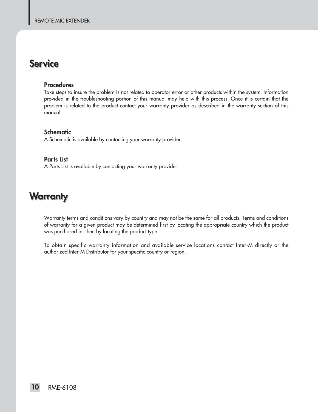### **Service Service**

#### **Procedures**

Take steps to insure the problem is not related to operator error or other products within the system. Information provided in the troubleshooting portion of this manual may help with this process. Once it is certain that the problem is related to the product contact your warranty provider as described in the warranty section of this manual.

### **Schematic**

A Schematic is available by contacting your warranty provider.

#### **Parts List**

A Parts List is available by contacting your warranty provider.

### **Warr Warranty anty**

Warranty terms and conditions vary by country and may not be the same for all products. Terms and conditions of warranty for a given product may be determined first by locating the appropriate country which the product was purchased in, then by locating the product type.

To obtain specific warranty information and available service locations contact Inter-M directly or the authorized Inter-M Distributor for your specific country or region.

**10** RME-6108